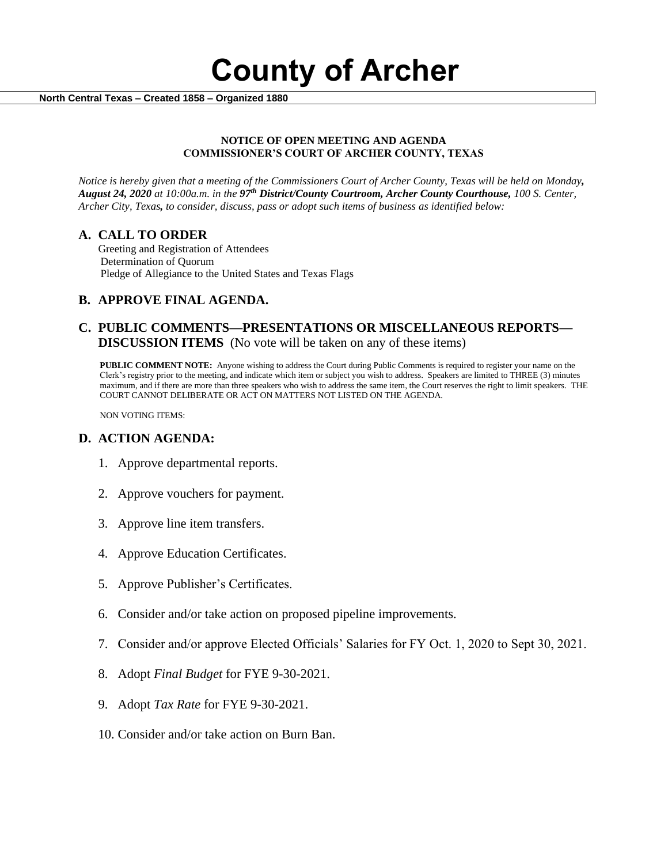**County of Archer** 

 **North Central Texas – Created 1858 – Organized 1880**

#### **NOTICE OF OPEN MEETING AND AGENDA COMMISSIONER'S COURT OF ARCHER COUNTY, TEXAS**

*Notice is hereby given that a meeting of the Commissioners Court of Archer County, Texas will be held on Monday, August 24, 2020 at 10:00a.m. in the 97th District/County Courtroom, Archer County Courthouse, 100 S. Center, Archer City, Texas, to consider, discuss, pass or adopt such items of business as identified below:*

### **A. CALL TO ORDER**

 Greeting and Registration of Attendees Determination of Quorum Pledge of Allegiance to the United States and Texas Flags

## **B. APPROVE FINAL AGENDA.**

### **C. PUBLIC COMMENTS—PRESENTATIONS OR MISCELLANEOUS REPORTS— DISCUSSION ITEMS** (No vote will be taken on any of these items)

**PUBLIC COMMENT NOTE:** Anyone wishing to address the Court during Public Comments is required to register your name on the Clerk's registry prior to the meeting, and indicate which item or subject you wish to address. Speakers are limited to THREE (3) minutes maximum, and if there are more than three speakers who wish to address the same item, the Court reserves the right to limit speakers. THE COURT CANNOT DELIBERATE OR ACT ON MATTERS NOT LISTED ON THE AGENDA.

NON VOTING ITEMS:

### **D. ACTION AGENDA:**

- 1. Approve departmental reports.
- 2. Approve vouchers for payment.
- 3. Approve line item transfers.
- 4. Approve Education Certificates.
- 5. Approve Publisher's Certificates.
- 6. Consider and/or take action on proposed pipeline improvements.
- 7. Consider and/or approve Elected Officials' Salaries for FY Oct. 1, 2020 to Sept 30, 2021.
- 8. Adopt *Final Budget* for FYE 9-30-2021.
- 9. Adopt *Tax Rate* for FYE 9-30-2021.
- 10. Consider and/or take action on Burn Ban.